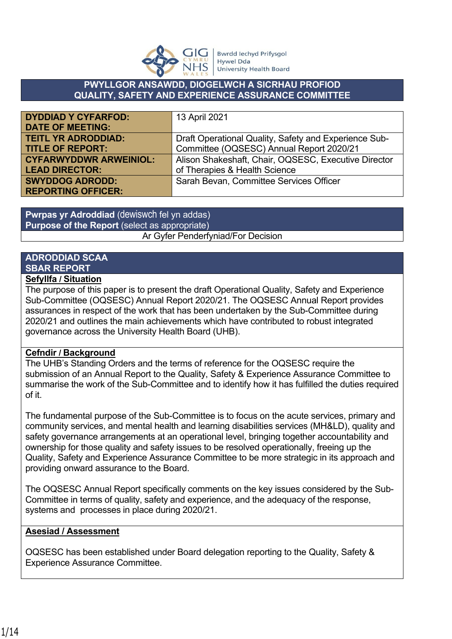

#### **PWYLLGOR ANSAWDD, DIOGELWCH A SICRHAU PROFIOD QUALITY, SAFETY AND EXPERIENCE ASSURANCE COMMITTEE**

| <b>DYDDIAD Y CYFARFOD:</b>    | 13 April 2021                                         |
|-------------------------------|-------------------------------------------------------|
| <b>DATE OF MEETING:</b>       |                                                       |
| <b>TEITL YR ADRODDIAD:</b>    | Draft Operational Quality, Safety and Experience Sub- |
| <b>TITLE OF REPORT:</b>       | Committee (OQSESC) Annual Report 2020/21              |
| <b>CYFARWYDDWR ARWEINIOL:</b> | Alison Shakeshaft, Chair, OQSESC, Executive Director  |
| <b>LEAD DIRECTOR:</b>         | of Therapies & Health Science                         |
| <b>SWYDDOG ADRODD:</b>        | Sarah Bevan, Committee Services Officer               |
| <b>REPORTING OFFICER:</b>     |                                                       |

**Pwrpas yr Adroddiad** (dewiswch fel yn addas) **Purpose of the Report** (select as appropriate) Ar Gyfer Penderfyniad/For Decision

# **ADRODDIAD SCAA SBAR REPORT**

## **Sefyllfa / Situation**

The purpose of this paper is to present the draft Operational Quality, Safety and Experience Sub-Committee (OQSESC) Annual Report 2020/21. The OQSESC Annual Report provides assurances in respect of the work that has been undertaken by the Sub-Committee during 2020/21 and outlines the main achievements which have contributed to robust integrated governance across the University Health Board (UHB).

#### **Cefndir / Background**

The UHB's Standing Orders and the terms of reference for the OQSESC require the submission of an Annual Report to the Quality, Safety & Experience Assurance Committee to summarise the work of the Sub-Committee and to identify how it has fulfilled the duties required of it.

The fundamental purpose of the Sub-Committee is to focus on the acute services, primary and community services, and mental health and learning disabilities services (MH&LD), quality and safety governance arrangements at an operational level, bringing together accountability and ownership for those quality and safety issues to be resolved operationally, freeing up the Quality, Safety and Experience Assurance Committee to be more strategic in its approach and providing onward assurance to the Board.

The OQSESC Annual Report specifically comments on the key issues considered by the Sub-Committee in terms of quality, safety and experience, and the adequacy of the response, systems and processes in place during 2020/21.

#### **Asesiad / Assessment**

OQSESC has been established under Board delegation reporting to the Quality, Safety & Experience Assurance Committee.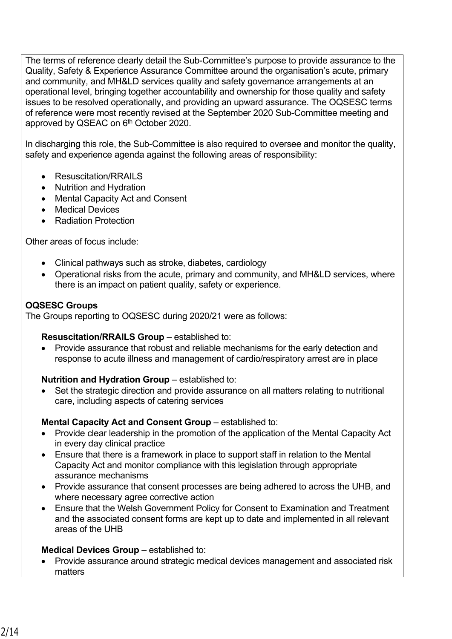The terms of reference clearly detail the Sub-Committee's purpose to provide assurance to the Quality, Safety & Experience Assurance Committee around the organisation's acute, primary and community, and MH&LD services quality and safety governance arrangements at an operational level, bringing together accountability and ownership for those quality and safety issues to be resolved operationally, and providing an upward assurance. The OQSESC terms of reference were most recently revised at the September 2020 Sub-Committee meeting and approved by QSEAC on 6<sup>th</sup> October 2020.

In discharging this role, the Sub-Committee is also required to oversee and monitor the quality, safety and experience agenda against the following areas of responsibility:

- Resuscitation/RRAILS
- Nutrition and Hydration
- Mental Capacity Act and Consent
- Medical Devices
- Radiation Protection

Other areas of focus include:

- Clinical pathways such as stroke, diabetes, cardiology
- Operational risks from the acute, primary and community, and MH&LD services, where there is an impact on patient quality, safety or experience.

#### **OQSESC Groups**

The Groups reporting to OQSESC during 2020/21 were as follows:

#### **Resuscitation/RRAILS Group** – established to:

 Provide assurance that robust and reliable mechanisms for the early detection and response to acute illness and management of cardio/respiratory arrest are in place

#### **Nutrition and Hydration Group** – established to:

 Set the strategic direction and provide assurance on all matters relating to nutritional care, including aspects of catering services

#### **Mental Capacity Act and Consent Group** – established to:

- Provide clear leadership in the promotion of the application of the Mental Capacity Act in every day clinical practice
- Ensure that there is a framework in place to support staff in relation to the Mental Capacity Act and monitor compliance with this legislation through appropriate assurance mechanisms
- Provide assurance that consent processes are being adhered to across the UHB, and where necessary agree corrective action
- Ensure that the Welsh Government Policy for Consent to Examination and Treatment and the associated consent forms are kept up to date and implemented in all relevant areas of the UHB

#### **Medical Devices Group** – established to:

 Provide assurance around strategic medical devices management and associated risk matters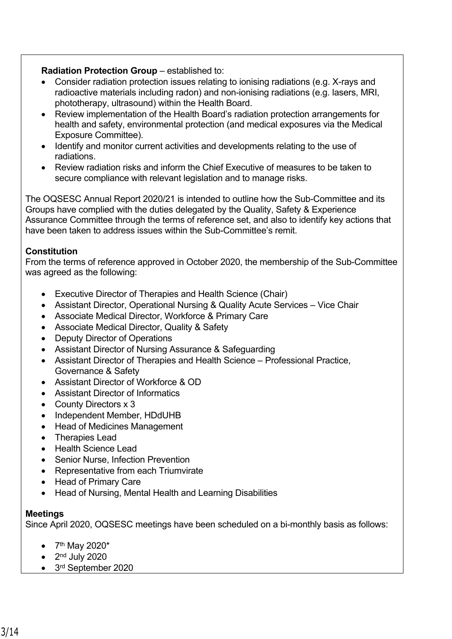### **Radiation Protection Group – established to:**

- Consider radiation protection issues relating to ionising radiations (e.g. X-rays and radioactive materials including radon) and non-ionising radiations (e.g. lasers, MRI, phototherapy, ultrasound) within the Health Board.
- Review implementation of the Health Board's radiation protection arrangements for health and safety, environmental protection (and medical exposures via the Medical Exposure Committee).
- Identify and monitor current activities and developments relating to the use of radiations.
- Review radiation risks and inform the Chief Executive of measures to be taken to secure compliance with relevant legislation and to manage risks.

The OQSESC Annual Report 2020/21 is intended to outline how the Sub-Committee and its Groups have complied with the duties delegated by the Quality, Safety & Experience Assurance Committee through the terms of reference set, and also to identify key actions that have been taken to address issues within the Sub-Committee's remit.

## **Constitution**

From the terms of reference approved in October 2020, the membership of the Sub-Committee was agreed as the following:

- Executive Director of Therapies and Health Science (Chair)
- Assistant Director, Operational Nursing & Quality Acute Services Vice Chair
- Associate Medical Director, Workforce & Primary Care
- Associate Medical Director, Quality & Safety
- Deputy Director of Operations
- Assistant Director of Nursing Assurance & Safeguarding
- Assistant Director of Therapies and Health Science Professional Practice, Governance & Safety
- Assistant Director of Workforce & OD
- Assistant Director of Informatics
- County Directors x 3
- Independent Member, HDdUHB
- Head of Medicines Management
- Therapies Lead
- Health Science Lead
- Senior Nurse, Infection Prevention
- Representative from each Triumvirate
- Head of Primary Care
- Head of Nursing, Mental Health and Learning Disabilities

#### **Meetings**

Since April 2020, OQSESC meetings have been scheduled on a bi-monthly basis as follows:

- $7<sup>th</sup>$  May 2020\*
- $\bullet$  2<sup>nd</sup> July 2020
- 3<sup>rd</sup> September 2020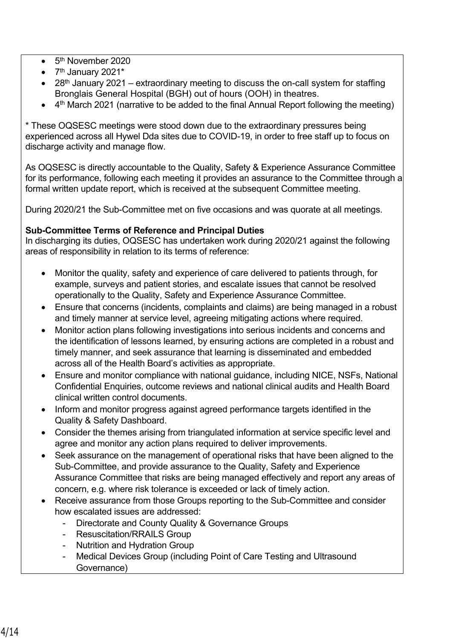- 5<sup>th</sup> November 2020
- $\bullet$  7<sup>th</sup> January 2021<sup>\*</sup>
- 28<sup>th</sup> January 2021 extraordinary meeting to discuss the on-call system for staffing Bronglais General Hospital (BGH) out of hours (OOH) in theatres.
- 4<sup>th</sup> March 2021 (narrative to be added to the final Annual Report following the meeting)

\* These OQSESC meetings were stood down due to the extraordinary pressures being experienced across all Hywel Dda sites due to COVID-19, in order to free staff up to focus on discharge activity and manage flow.

As OQSESC is directly accountable to the Quality, Safety & Experience Assurance Committee for its performance, following each meeting it provides an assurance to the Committee through a formal written update report, which is received at the subsequent Committee meeting.

During 2020/21 the Sub-Committee met on five occasions and was quorate at all meetings.

## **Sub-Committee Terms of Reference and Principal Duties**

In discharging its duties, OQSESC has undertaken work during 2020/21 against the following areas of responsibility in relation to its terms of reference:

- Monitor the quality, safety and experience of care delivered to patients through, for example, surveys and patient stories, and escalate issues that cannot be resolved operationally to the Quality, Safety and Experience Assurance Committee.
- Ensure that concerns (incidents, complaints and claims) are being managed in a robust and timely manner at service level, agreeing mitigating actions where required.
- Monitor action plans following investigations into serious incidents and concerns and the identification of lessons learned, by ensuring actions are completed in a robust and timely manner, and seek assurance that learning is disseminated and embedded across all of the Health Board's activities as appropriate.
- Ensure and monitor compliance with national guidance, including NICE, NSFs, National Confidential Enquiries, outcome reviews and national clinical audits and Health Board clinical written control documents.
- Inform and monitor progress against agreed performance targets identified in the Quality & Safety Dashboard.
- Consider the themes arising from triangulated information at service specific level and agree and monitor any action plans required to deliver improvements.
- Seek assurance on the management of operational risks that have been aligned to the Sub-Committee, and provide assurance to the Quality, Safety and Experience Assurance Committee that risks are being managed effectively and report any areas of concern, e.g. where risk tolerance is exceeded or lack of timely action.
- Receive assurance from those Groups reporting to the Sub-Committee and consider how escalated issues are addressed:
	- Directorate and County Quality & Governance Groups
	- Resuscitation/RRAILS Group
	- Nutrition and Hydration Group
	- Medical Devices Group (including Point of Care Testing and Ultrasound Governance)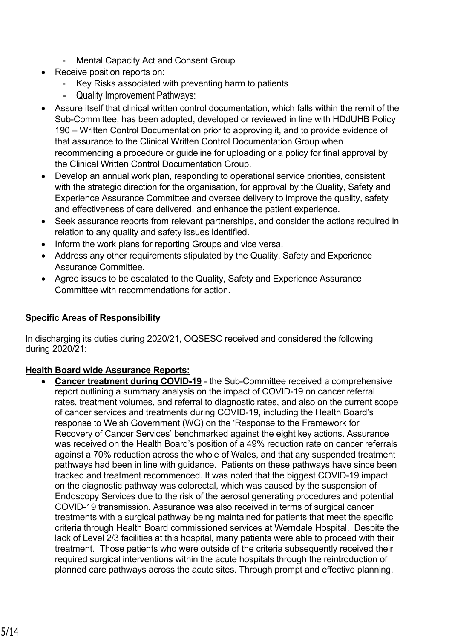- Mental Capacity Act and Consent Group
- Receive position reports on:
	- Key Risks associated with preventing harm to patients
	- Quality Improvement Pathways:
- Assure itself that clinical written control documentation, which falls within the remit of the Sub-Committee, has been adopted, developed or reviewed in line with HDdUHB Policy 190 – Written Control Documentation prior to approving it, and to provide evidence of that assurance to the Clinical Written Control Documentation Group when recommending a procedure or guideline for uploading or a policy for final approval by the Clinical Written Control Documentation Group.
- Develop an annual work plan, responding to operational service priorities, consistent with the strategic direction for the organisation, for approval by the Quality, Safety and Experience Assurance Committee and oversee delivery to improve the quality, safety and effectiveness of care delivered, and enhance the patient experience.
- Seek assurance reports from relevant partnerships, and consider the actions required in relation to any quality and safety issues identified.
- Inform the work plans for reporting Groups and vice versa.
- Address any other requirements stipulated by the Quality, Safety and Experience Assurance Committee.
- Agree issues to be escalated to the Quality, Safety and Experience Assurance Committee with recommendations for action.

## **Specific Areas of Responsibility**

In discharging its duties during 2020/21, OQSESC received and considered the following during 2020/21:

## **Health Board wide Assurance Reports:**

 **Cancer treatment during COVID-19** - the Sub-Committee received a comprehensive report outlining a summary analysis on the impact of COVID-19 on cancer referral rates, treatment volumes, and referral to diagnostic rates, and also on the current scope of cancer services and treatments during COVID-19, including the Health Board's response to Welsh Government (WG) on the 'Response to the Framework for Recovery of Cancer Services' benchmarked against the eight key actions. Assurance was received on the Health Board's position of a 49% reduction rate on cancer referrals against a 70% reduction across the whole of Wales, and that any suspended treatment pathways had been in line with guidance. Patients on these pathways have since been tracked and treatment recommenced. It was noted that the biggest COVID-19 impact on the diagnostic pathway was colorectal, which was caused by the suspension of Endoscopy Services due to the risk of the aerosol generating procedures and potential COVID-19 transmission. Assurance was also received in terms of surgical cancer treatments with a surgical pathway being maintained for patients that meet the specific criteria through Health Board commissioned services at Werndale Hospital. Despite the lack of Level 2/3 facilities at this hospital, many patients were able to proceed with their treatment. Those patients who were outside of the criteria subsequently received their required surgical interventions within the acute hospitals through the reintroduction of planned care pathways across the acute sites. Through prompt and effective planning,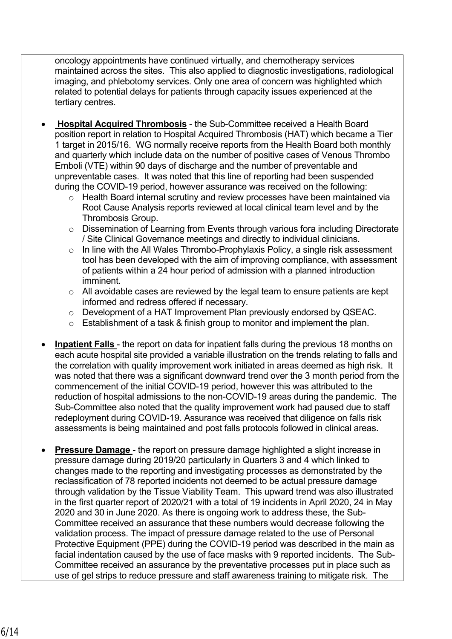oncology appointments have continued virtually, and chemotherapy services maintained across the sites. This also applied to diagnostic investigations, radiological imaging, and phlebotomy services. Only one area of concern was highlighted which related to potential delays for patients through capacity issues experienced at the tertiary centres.

- **Hospital Acquired Thrombosis** the Sub-Committee received a Health Board position report in relation to Hospital Acquired Thrombosis (HAT) which became a Tier 1 target in 2015/16. WG normally receive reports from the Health Board both monthly and quarterly which include data on the number of positive cases of Venous Thrombo Emboli (VTE) within 90 days of discharge and the number of preventable and unpreventable cases. It was noted that this line of reporting had been suspended during the COVID-19 period, however assurance was received on the following:
	- o Health Board internal scrutiny and review processes have been maintained via Root Cause Analysis reports reviewed at local clinical team level and by the Thrombosis Group.
	- o Dissemination of Learning from Events through various fora including Directorate / Site Clinical Governance meetings and directly to individual clinicians.
	- o In line with the All Wales Thrombo-Prophylaxis Policy, a single risk assessment tool has been developed with the aim of improving compliance, with assessment of patients within a 24 hour period of admission with a planned introduction imminent.
	- o All avoidable cases are reviewed by the legal team to ensure patients are kept informed and redress offered if necessary.
	- o Development of a HAT Improvement Plan previously endorsed by QSEAC.
	- o Establishment of a task & finish group to monitor and implement the plan.
- **Inpatient Falls**  the report on data for inpatient falls during the previous 18 months on each acute hospital site provided a variable illustration on the trends relating to falls and the correlation with quality improvement work initiated in areas deemed as high risk. It was noted that there was a significant downward trend over the 3 month period from the commencement of the initial COVID-19 period, however this was attributed to the reduction of hospital admissions to the non-COVID-19 areas during the pandemic. The Sub-Committee also noted that the quality improvement work had paused due to staff redeployment during COVID-19. Assurance was received that diligence on falls risk assessments is being maintained and post falls protocols followed in clinical areas.
- **Pressure Damage**  the report on pressure damage highlighted a slight increase in pressure damage during 2019/20 particularly in Quarters 3 and 4 which linked to changes made to the reporting and investigating processes as demonstrated by the reclassification of 78 reported incidents not deemed to be actual pressure damage through validation by the Tissue Viability Team. This upward trend was also illustrated in the first quarter report of 2020/21 with a total of 19 incidents in April 2020, 24 in May 2020 and 30 in June 2020. As there is ongoing work to address these, the Sub-Committee received an assurance that these numbers would decrease following the validation process. The impact of pressure damage related to the use of Personal Protective Equipment (PPE) during the COVID-19 period was described in the main as facial indentation caused by the use of face masks with 9 reported incidents. The Sub-Committee received an assurance by the preventative processes put in place such as use of gel strips to reduce pressure and staff awareness training to mitigate risk. The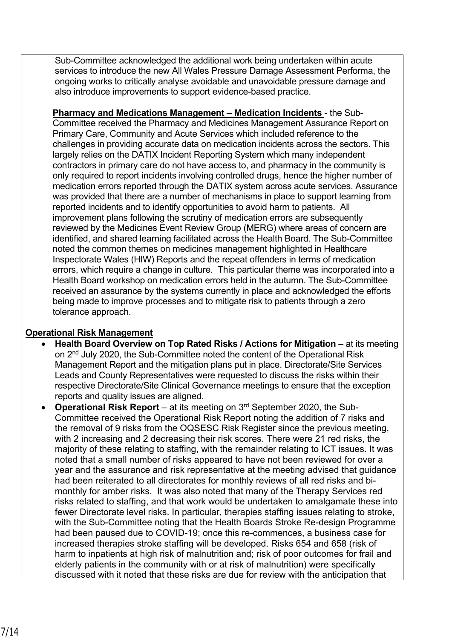Sub-Committee acknowledged the additional work being undertaken within acute services to introduce the new All Wales Pressure Damage Assessment Performa, the ongoing works to critically analyse avoidable and unavoidable pressure damage and also introduce improvements to support evidence-based practice.

**Pharmacy and Medications Management – Medication Incidents** - the Sub-Committee received the Pharmacy and Medicines Management Assurance Report on Primary Care, Community and Acute Services which included reference to the challenges in providing accurate data on medication incidents across the sectors. This largely relies on the DATIX Incident Reporting System which many independent contractors in primary care do not have access to, and pharmacy in the community is only required to report incidents involving controlled drugs, hence the higher number of medication errors reported through the DATIX system across acute services. Assurance was provided that there are a number of mechanisms in place to support learning from reported incidents and to identify opportunities to avoid harm to patients. All improvement plans following the scrutiny of medication errors are subsequently reviewed by the Medicines Event Review Group (MERG) where areas of concern are identified, and shared learning facilitated across the Health Board. The Sub-Committee noted the common themes on medicines management highlighted in Healthcare Inspectorate Wales (HIW) Reports and the repeat offenders in terms of medication errors, which require a change in culture. This particular theme was incorporated into a Health Board workshop on medication errors held in the autumn. The Sub-Committee received an assurance by the systems currently in place and acknowledged the efforts being made to improve processes and to mitigate risk to patients through a zero tolerance approach.

## **Operational Risk Management**

- **Health Board Overview on Top Rated Risks / Actions for Mitigation** at its meeting on 2nd July 2020, the Sub-Committee noted the content of the Operational Risk Management Report and the mitigation plans put in place. Directorate/Site Services Leads and County Representatives were requested to discuss the risks within their respective Directorate/Site Clinical Governance meetings to ensure that the exception reports and quality issues are aligned.
- **Operational Risk Report** at its meeting on 3<sup>rd</sup> September 2020, the Sub-Committee received the Operational Risk Report noting the addition of 7 risks and the removal of 9 risks from the OQSESC Risk Register since the previous meeting, with 2 increasing and 2 decreasing their risk scores. There were 21 red risks, the majority of these relating to staffing, with the remainder relating to ICT issues. It was noted that a small number of risks appeared to have not been reviewed for over a year and the assurance and risk representative at the meeting advised that guidance had been reiterated to all directorates for monthly reviews of all red risks and bimonthly for amber risks. It was also noted that many of the Therapy Services red risks related to staffing, and that work would be undertaken to amalgamate these into fewer Directorate level risks. In particular, therapies staffing issues relating to stroke, with the Sub-Committee noting that the Health Boards Stroke Re-design Programme had been paused due to COVID-19; once this re-commences, a business case for increased therapies stroke staffing will be developed. Risks 654 and 658 (risk of harm to inpatients at high risk of malnutrition and; risk of poor outcomes for frail and elderly patients in the community with or at risk of malnutrition) were specifically discussed with it noted that these risks are due for review with the anticipation that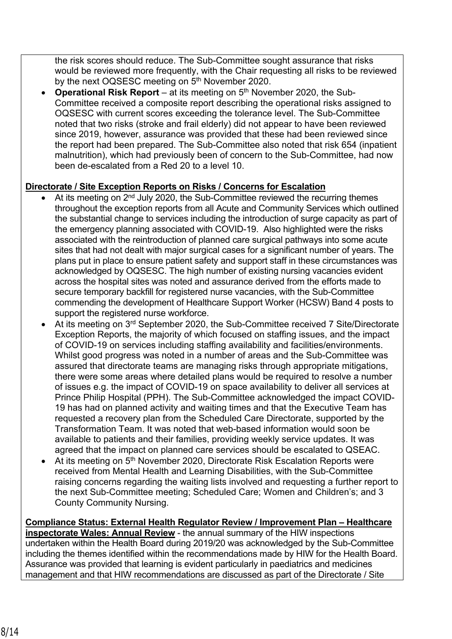the risk scores should reduce. The Sub-Committee sought assurance that risks would be reviewed more frequently, with the Chair requesting all risks to be reviewed by the next OQSESC meeting on 5<sup>th</sup> November 2020.

**Operational Risk Report** – at its meeting on 5<sup>th</sup> November 2020, the Sub-Committee received a composite report describing the operational risks assigned to OQSESC with current scores exceeding the tolerance level. The Sub-Committee noted that two risks (stroke and frail elderly) did not appear to have been reviewed since 2019, however, assurance was provided that these had been reviewed since the report had been prepared. The Sub-Committee also noted that risk 654 (inpatient malnutrition), which had previously been of concern to the Sub-Committee, had now been de-escalated from a Red 20 to a level 10.

## **Directorate / Site Exception Reports on Risks / Concerns for Escalation**

- At its meeting on 2<sup>nd</sup> July 2020, the Sub-Committee reviewed the recurring themes throughout the exception reports from all Acute and Community Services which outlined the substantial change to services including the introduction of surge capacity as part of the emergency planning associated with COVID-19. Also highlighted were the risks associated with the reintroduction of planned care surgical pathways into some acute sites that had not dealt with major surgical cases for a significant number of years. The plans put in place to ensure patient safety and support staff in these circumstances was acknowledged by OQSESC. The high number of existing nursing vacancies evident across the hospital sites was noted and assurance derived from the efforts made to secure temporary backfill for registered nurse vacancies, with the Sub-Committee commending the development of Healthcare Support Worker (HCSW) Band 4 posts to support the registered nurse workforce.
- At its meeting on 3rd September 2020, the Sub-Committee received 7 Site/Directorate Exception Reports, the majority of which focused on staffing issues, and the impact of COVID-19 on services including staffing availability and facilities/environments. Whilst good progress was noted in a number of areas and the Sub-Committee was assured that directorate teams are managing risks through appropriate mitigations, there were some areas where detailed plans would be required to resolve a number of issues e.g. the impact of COVID-19 on space availability to deliver all services at Prince Philip Hospital (PPH). The Sub-Committee acknowledged the impact COVID-19 has had on planned activity and waiting times and that the Executive Team has requested a recovery plan from the Scheduled Care Directorate, supported by the Transformation Team. It was noted that web-based information would soon be available to patients and their families, providing weekly service updates. It was agreed that the impact on planned care services should be escalated to QSEAC.
- At its meeting on 5<sup>th</sup> November 2020, Directorate Risk Escalation Reports were received from Mental Health and Learning Disabilities, with the Sub-Committee raising concerns regarding the waiting lists involved and requesting a further report to the next Sub-Committee meeting; Scheduled Care; Women and Children's; and 3 County Community Nursing.

**Compliance Status: External Health Regulator Review / Improvement Plan – Healthcare inspectorate Wales: Annual Review** - the annual summary of the HIW inspections undertaken within the Health Board during 2019/20 was acknowledged by the Sub-Committee including the themes identified within the recommendations made by HIW for the Health Board. Assurance was provided that learning is evident particularly in paediatrics and medicines management and that HIW recommendations are discussed as part of the Directorate / Site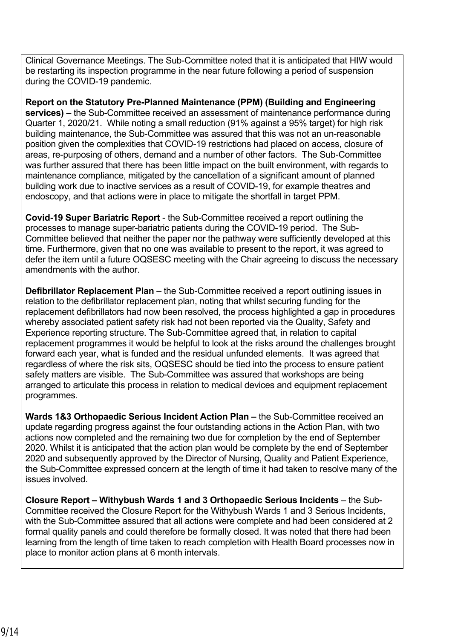Clinical Governance Meetings. The Sub-Committee noted that it is anticipated that HIW would be restarting its inspection programme in the near future following a period of suspension during the COVID-19 pandemic.

**Report on the Statutory Pre-Planned Maintenance (PPM) (Building and Engineering services)** – the Sub-Committee received an assessment of maintenance performance during Quarter 1, 2020/21. While noting a small reduction (91% against a 95% target) for high risk building maintenance, the Sub-Committee was assured that this was not an un-reasonable position given the complexities that COVID-19 restrictions had placed on access, closure of areas, re-purposing of others, demand and a number of other factors. The Sub-Committee was further assured that there has been little impact on the built environment, with regards to maintenance compliance, mitigated by the cancellation of a significant amount of planned building work due to inactive services as a result of COVID-19, for example theatres and endoscopy, and that actions were in place to mitigate the shortfall in target PPM.

**Covid-19 Super Bariatric Report** - the Sub-Committee received a report outlining the processes to manage super-bariatric patients during the COVID-19 period. The Sub-Committee believed that neither the paper nor the pathway were sufficiently developed at this time. Furthermore, given that no one was available to present to the report, it was agreed to defer the item until a future OQSESC meeting with the Chair agreeing to discuss the necessary amendments with the author.

**Defibrillator Replacement Plan** – the Sub-Committee received a report outlining issues in relation to the defibrillator replacement plan, noting that whilst securing funding for the replacement defibrillators had now been resolved, the process highlighted a gap in procedures whereby associated patient safety risk had not been reported via the Quality, Safety and Experience reporting structure. The Sub-Committee agreed that, in relation to capital replacement programmes it would be helpful to look at the risks around the challenges brought forward each year, what is funded and the residual unfunded elements. It was agreed that regardless of where the risk sits, OQSESC should be tied into the process to ensure patient safety matters are visible. The Sub-Committee was assured that workshops are being arranged to articulate this process in relation to medical devices and equipment replacement programmes.

**Wards 1&3 Orthopaedic Serious Incident Action Plan –** the Sub-Committee received an update regarding progress against the four outstanding actions in the Action Plan, with two actions now completed and the remaining two due for completion by the end of September 2020. Whilst it is anticipated that the action plan would be complete by the end of September 2020 and subsequently approved by the Director of Nursing, Quality and Patient Experience, the Sub-Committee expressed concern at the length of time it had taken to resolve many of the issues involved.

**Closure Report – Withybush Wards 1 and 3 Orthopaedic Serious Incidents** – the Sub-Committee received the Closure Report for the Withybush Wards 1 and 3 Serious Incidents, with the Sub-Committee assured that all actions were complete and had been considered at 2 formal quality panels and could therefore be formally closed. It was noted that there had been learning from the length of time taken to reach completion with Health Board processes now in place to monitor action plans at 6 month intervals.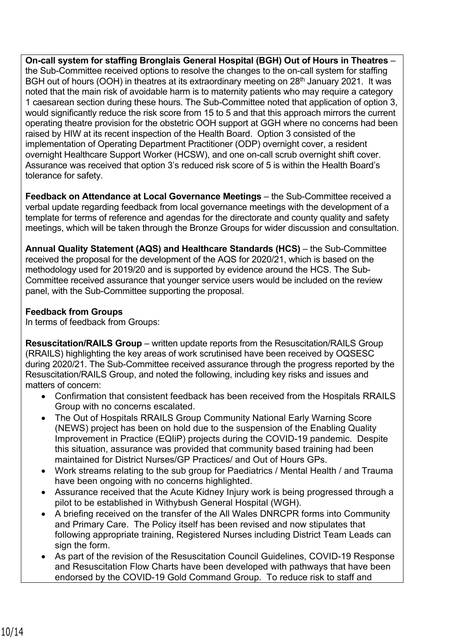**On-call system for staffing Bronglais General Hospital (BGH) Out of Hours in Theatres** – the Sub-Committee received options to resolve the changes to the on-call system for staffing BGH out of hours (OOH) in theatres at its extraordinary meeting on 28<sup>th</sup> January 2021. It was noted that the main risk of avoidable harm is to maternity patients who may require a category 1 caesarean section during these hours. The Sub-Committee noted that application of option 3, would significantly reduce the risk score from 15 to 5 and that this approach mirrors the current operating theatre provision for the obstetric OOH support at GGH where no concerns had been raised by HIW at its recent inspection of the Health Board. Option 3 consisted of the implementation of Operating Department Practitioner (ODP) overnight cover, a resident overnight Healthcare Support Worker (HCSW), and one on-call scrub overnight shift cover. Assurance was received that option 3's reduced risk score of 5 is within the Health Board's tolerance for safety.

**Feedback on Attendance at Local Governance Meetings** – the Sub-Committee received a verbal update regarding feedback from local governance meetings with the development of a template for terms of reference and agendas for the directorate and county quality and safety meetings, which will be taken through the Bronze Groups for wider discussion and consultation.

**Annual Quality Statement (AQS) and Healthcare Standards (HCS)** – the Sub-Committee received the proposal for the development of the AQS for 2020/21, which is based on the methodology used for 2019/20 and is supported by evidence around the HCS. The Sub-Committee received assurance that younger service users would be included on the review panel, with the Sub-Committee supporting the proposal.

## **Feedback from Groups**

In terms of feedback from Groups:

**Resuscitation/RAILS Group** – written update reports from the Resuscitation/RAILS Group (RRAILS) highlighting the key areas of work scrutinised have been received by OQSESC during 2020/21. The Sub-Committee received assurance through the progress reported by the Resuscitation/RAILS Group, and noted the following, including key risks and issues and matters of concern:

- Confirmation that consistent feedback has been received from the Hospitals RRAILS Group with no concerns escalated.
- The Out of Hospitals RRAILS Group Community National Early Warning Score (NEWS) project has been on hold due to the suspension of the Enabling Quality Improvement in Practice (EQIiP) projects during the COVID-19 pandemic. Despite this situation, assurance was provided that community based training had been maintained for District Nurses/GP Practices/ and Out of Hours GPs.
- Work streams relating to the sub group for Paediatrics / Mental Health / and Trauma have been ongoing with no concerns highlighted.
- Assurance received that the Acute Kidney Injury work is being progressed through a pilot to be established in Withybush General Hospital (WGH).
- A briefing received on the transfer of the All Wales DNRCPR forms into Community and Primary Care. The Policy itself has been revised and now stipulates that following appropriate training, Registered Nurses including District Team Leads can sign the form.
- As part of the revision of the Resuscitation Council Guidelines, COVID-19 Response and Resuscitation Flow Charts have been developed with pathways that have been endorsed by the COVID-19 Gold Command Group. To reduce risk to staff and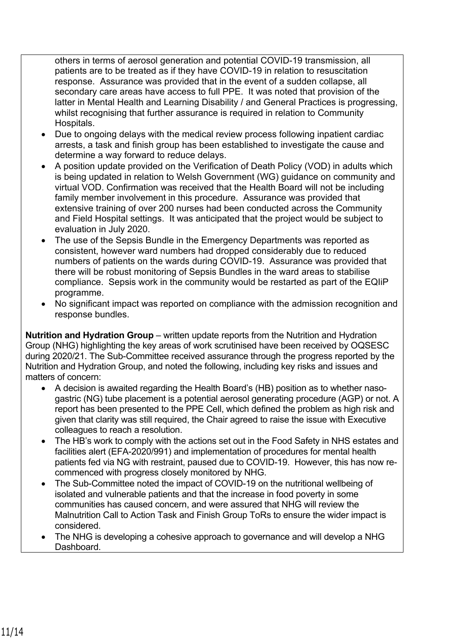others in terms of aerosol generation and potential COVID-19 transmission, all patients are to be treated as if they have COVID-19 in relation to resuscitation response. Assurance was provided that in the event of a sudden collapse, all secondary care areas have access to full PPE. It was noted that provision of the latter in Mental Health and Learning Disability / and General Practices is progressing, whilst recognising that further assurance is required in relation to Community Hospitals.

- Due to ongoing delays with the medical review process following inpatient cardiac arrests, a task and finish group has been established to investigate the cause and determine a way forward to reduce delays.
- A position update provided on the Verification of Death Policy (VOD) in adults which is being updated in relation to Welsh Government (WG) guidance on community and virtual VOD. Confirmation was received that the Health Board will not be including family member involvement in this procedure. Assurance was provided that extensive training of over 200 nurses had been conducted across the Community and Field Hospital settings. It was anticipated that the project would be subject to evaluation in July 2020.
- The use of the Sepsis Bundle in the Emergency Departments was reported as consistent, however ward numbers had dropped considerably due to reduced numbers of patients on the wards during COVID-19. Assurance was provided that there will be robust monitoring of Sepsis Bundles in the ward areas to stabilise compliance. Sepsis work in the community would be restarted as part of the EQIiP programme.
- No significant impact was reported on compliance with the admission recognition and response bundles.

**Nutrition and Hydration Group** – written update reports from the Nutrition and Hydration Group (NHG) highlighting the key areas of work scrutinised have been received by OQSESC during 2020/21. The Sub-Committee received assurance through the progress reported by the Nutrition and Hydration Group, and noted the following, including key risks and issues and matters of concern:

- A decision is awaited regarding the Health Board's (HB) position as to whether nasogastric (NG) tube placement is a potential aerosol generating procedure (AGP) or not. A report has been presented to the PPE Cell, which defined the problem as high risk and given that clarity was still required, the Chair agreed to raise the issue with Executive colleagues to reach a resolution.
- The HB's work to comply with the actions set out in the Food Safety in NHS estates and facilities alert (EFA-2020/991) and implementation of procedures for mental health patients fed via NG with restraint, paused due to COVID-19. However, this has now recommenced with progress closely monitored by NHG.
- The Sub-Committee noted the impact of COVID-19 on the nutritional wellbeing of isolated and vulnerable patients and that the increase in food poverty in some communities has caused concern, and were assured that NHG will review the Malnutrition Call to Action Task and Finish Group ToRs to ensure the wider impact is considered.
- The NHG is developing a cohesive approach to governance and will develop a NHG Dashboard.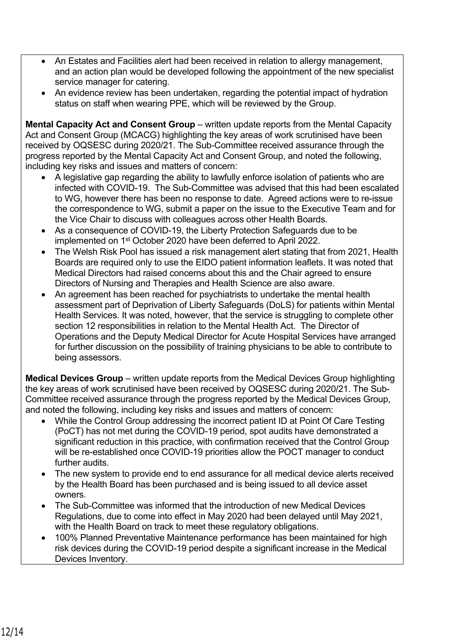- An Estates and Facilities alert had been received in relation to allergy management, and an action plan would be developed following the appointment of the new specialist service manager for catering.
- An evidence review has been undertaken, regarding the potential impact of hydration status on staff when wearing PPE, which will be reviewed by the Group.

**Mental Capacity Act and Consent Group** – written update reports from the Mental Capacity Act and Consent Group (MCACG) highlighting the key areas of work scrutinised have been received by OQSESC during 2020/21. The Sub-Committee received assurance through the progress reported by the Mental Capacity Act and Consent Group, and noted the following, including key risks and issues and matters of concern:

- A legislative gap regarding the ability to lawfully enforce isolation of patients who are infected with COVID-19. The Sub-Committee was advised that this had been escalated to WG, however there has been no response to date. Agreed actions were to re-issue the correspondence to WG, submit a paper on the issue to the Executive Team and for the Vice Chair to discuss with colleagues across other Health Boards.
- As a consequence of COVID-19, the Liberty Protection Safeguards due to be implemented on 1st October 2020 have been deferred to April 2022.
- The Welsh Risk Pool has issued a risk management alert stating that from 2021, Health Boards are required only to use the EIDO patient information leaflets. It was noted that Medical Directors had raised concerns about this and the Chair agreed to ensure Directors of Nursing and Therapies and Health Science are also aware.
- An agreement has been reached for psychiatrists to undertake the mental health assessment part of Deprivation of Liberty Safeguards (DoLS) for patients within Mental Health Services. It was noted, however, that the service is struggling to complete other section 12 responsibilities in relation to the Mental Health Act. The Director of Operations and the Deputy Medical Director for Acute Hospital Services have arranged for further discussion on the possibility of training physicians to be able to contribute to being assessors.

**Medical Devices Group** – written update reports from the Medical Devices Group highlighting the key areas of work scrutinised have been received by OQSESC during 2020/21. The Sub-Committee received assurance through the progress reported by the Medical Devices Group, and noted the following, including key risks and issues and matters of concern:

- While the Control Group addressing the incorrect patient ID at Point Of Care Testing (PoCT) has not met during the COVID-19 period, spot audits have demonstrated a significant reduction in this practice, with confirmation received that the Control Group will be re-established once COVID-19 priorities allow the POCT manager to conduct further audits.
- The new system to provide end to end assurance for all medical device alerts received by the Health Board has been purchased and is being issued to all device asset owners.
- The Sub-Committee was informed that the introduction of new Medical Devices Regulations, due to come into effect in May 2020 had been delayed until May 2021, with the Health Board on track to meet these regulatory obligations.
- 100% Planned Preventative Maintenance performance has been maintained for high risk devices during the COVID-19 period despite a significant increase in the Medical Devices Inventory.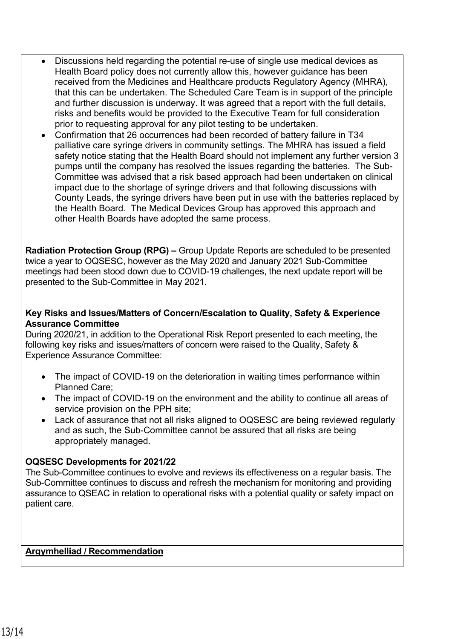- Discussions held regarding the potential re-use of single use medical devices as Health Board policy does not currently allow this, however guidance has been received from the Medicines and Healthcare products Regulatory Agency (MHRA), that this can be undertaken. The Scheduled Care Team is in support of the principle and further discussion is underway. It was agreed that a report with the full details, risks and benefits would be provided to the Executive Team for full consideration prior to requesting approval for any pilot testing to be undertaken.
- Confirmation that 26 occurrences had been recorded of battery failure in T34 palliative care syringe drivers in community settings. The MHRA has issued a field safety notice stating that the Health Board should not implement any further version 3 pumps until the company has resolved the issues regarding the batteries. The Sub-Committee was advised that a risk based approach had been undertaken on clinical impact due to the shortage of syringe drivers and that following discussions with County Leads, the syringe drivers have been put in use with the batteries replaced by the Health Board. The Medical Devices Group has approved this approach and other Health Boards have adopted the same process.

**Radiation Protection Group (RPG) –** Group Update Reports are scheduled to be presented twice a year to OQSESC, however as the May 2020 and January 2021 Sub-Committee meetings had been stood down due to COVID-19 challenges, the next update report will be presented to the Sub-Committee in May 2021.

### **Key Risks and Issues/Matters of Concern/Escalation to Quality, Safety & Experience Assurance Committee**

During 2020/21, in addition to the Operational Risk Report presented to each meeting, the following key risks and issues/matters of concern were raised to the Quality, Safety & Experience Assurance Committee:

- The impact of COVID-19 on the deterioration in waiting times performance within Planned Care;
- The impact of COVID-19 on the environment and the ability to continue all areas of service provision on the PPH site;
- Lack of assurance that not all risks aligned to OQSESC are being reviewed regularly and as such, the Sub-Committee cannot be assured that all risks are being appropriately managed.

## **OQSESC Developments for 2021/22**

The Sub-Committee continues to evolve and reviews its effectiveness on a regular basis. The Sub-Committee continues to discuss and refresh the mechanism for monitoring and providing assurance to QSEAC in relation to operational risks with a potential quality or safety impact on patient care.

## **Argymhelliad / Recommendation**